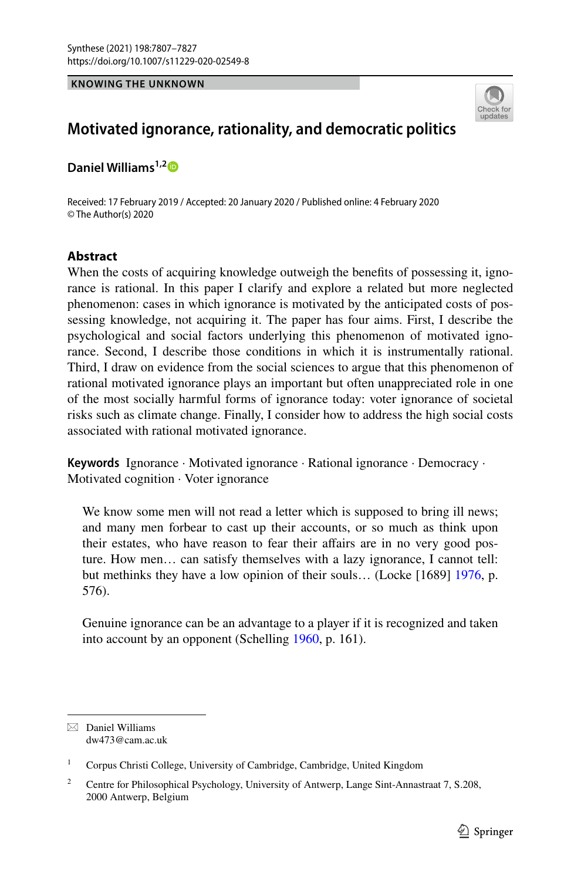## **KNOWING THE UNKNOWN**



# **Motivated ignorance, rationality, and democratic politics**

**Daniel Williams1,[2](http://orcid.org/0000-0002-9774-2910)**

Received: 17 February 2019 / Accepted: 20 January 2020 / Published online: 4 February 2020 © The Author(s) 2020

## **Abstract**

When the costs of acquiring knowledge outweigh the benefits of possessing it, igno– rance is rational. In this paper I clarify and explore a related but more neglected phenomenon: cases in which ignorance is motivated by the anticipated costs of pos‑ sessing knowledge, not acquiring it. The paper has four aims. First, I describe the psychological and social factors underlying this phenomenon of motivated ignorance. Second, I describe those conditions in which it is instrumentally rational. Third, I draw on evidence from the social sciences to argue that this phenomenon of rational motivated ignorance plays an important but often unappreciated role in one of the most socially harmful forms of ignorance today: voter ignorance of societal risks such as climate change. Finally, I consider how to address the high social costs associated with rational motivated ignorance.

**Keywords** Ignorance · Motivated ignorance · Rational ignorance · Democracy · Motivated cognition · Voter ignorance

We know some men will not read a letter which is supposed to bring ill news; and many men forbear to cast up their accounts, or so much as think upon their estates, who have reason to fear their affairs are in no very good posture. How men… can satisfy themselves with a lazy ignorance, I cannot tell: but methinks they have a low opinion of their souls… (Locke [1689] [1976](#page-19-0), p. 576).

Genuine ignorance can be an advantage to a player if it is recognized and taken into account by an opponent (Schelling [1960](#page-19-1), p. 161).

 $\boxtimes$  Daniel Williams dw473@cam.ac.uk

<sup>&</sup>lt;sup>1</sup> Corpus Christi College, University of Cambridge, Cambridge, United Kingdom

<sup>&</sup>lt;sup>2</sup> Centre for Philosophical Psychology, University of Antwerp, Lange Sint-Annastraat 7, S.208, 2000 Antwerp, Belgium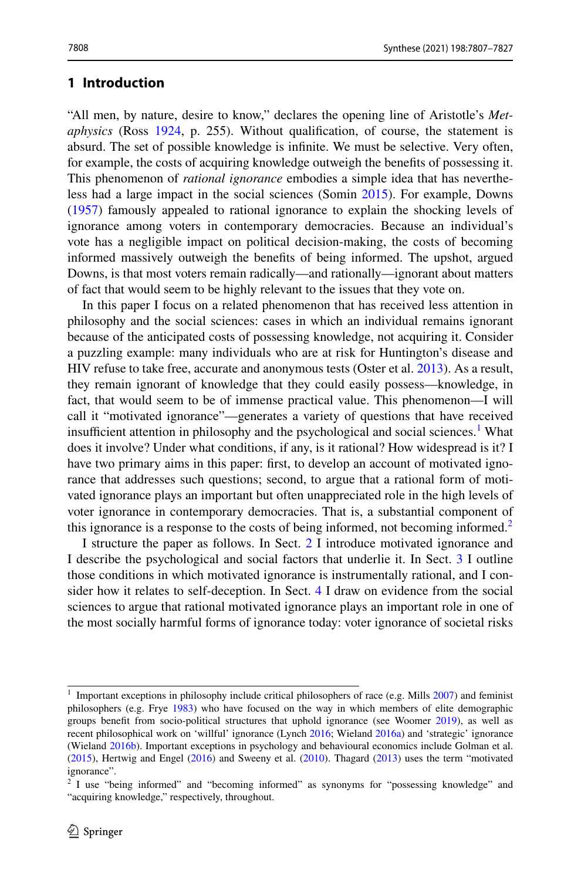### <span id="page-1-2"></span>**1 Introduction**

"All men, by nature, desire to know," declares the opening line of Aristotle's *Metaphysics* (Ross [1924](#page-19-2), p. 255). Without qualifcation, of course, the statement is absurd. The set of possible knowledge is infnite. We must be selective. Very often, for example, the costs of acquiring knowledge outweigh the benefts of possessing it. This phenomenon of *rational ignorance* embodies a simple idea that has neverthe‑ less had a large impact in the social sciences (Somin [2015\)](#page-19-3). For example, Downs [\(1957](#page-18-0)) famously appealed to rational ignorance to explain the shocking levels of ignorance among voters in contemporary democracies. Because an individual's vote has a negligible impact on political decision-making, the costs of becoming informed massively outweigh the benefts of being informed. The upshot, argued Downs, is that most voters remain radically—and rationally—ignorant about matters of fact that would seem to be highly relevant to the issues that they vote on.

In this paper I focus on a related phenomenon that has received less attention in philosophy and the social sciences: cases in which an individual remains ignorant because of the anticipated costs of possessing knowledge, not acquiring it. Consider a puzzling example: many individuals who are at risk for Huntington's disease and HIV refuse to take free, accurate and anonymous tests (Oster et al. [2013\)](#page-19-4). As a result, they remain ignorant of knowledge that they could easily possess—knowledge, in fact, that would seem to be of immense practical value. This phenomenon—I will call it "motivated ignorance"—generates a variety of questions that have received insufficient attention in philosophy and the psychological and social sciences.<sup>[1](#page-1-0)</sup> What does it involve? Under what conditions, if any, is it rational? How widespread is it? I have two primary aims in this paper: first, to develop an account of motivated ignorance that addresses such questions; second, to argue that a rational form of motivated ignorance plays an important but often unappreciated role in the high levels of voter ignorance in contemporary democracies. That is, a substantial component of this ignorance is a response to the costs of being informed, not becoming informed.<sup>[2](#page-1-1)</sup>

I structure the paper as follows. In Sect. [2](#page-2-0) I introduce motivated ignorance and I describe the psychological and social factors that underlie it. In Sect. [3](#page-6-0) I outline those conditions in which motivated ignorance is instrumentally rational, and I con‑ sider how it relates to self-deception. In Sect. [4](#page-11-0) I draw on evidence from the social sciences to argue that rational motivated ignorance plays an important role in one of the most socially harmful forms of ignorance today: voter ignorance of societal risks

<span id="page-1-0"></span> $1$  Important exceptions in philosophy include critical philosophers of race (e.g. Mills  $2007$ ) and feminist philosophers (e.g. Frye [1983](#page-18-1)) who have focused on the way in which members of elite demographic groups beneft from socio-political structures that uphold ignorance (see Woomer [2019\)](#page-20-0), as well as recent philosophical work on 'willful' ignorance (Lynch [2016](#page-19-6); Wieland [2016a\)](#page-20-1) and 'strategic' ignorance (Wieland [2016b](#page-20-2)). Important exceptions in psychology and behavioural economics include Golman et al. ([2015\)](#page-18-2), Hertwig and Engel [\(2016](#page-19-7)) and Sweeny et al. ([2010\)](#page-19-8). Thagard ([2013\)](#page-20-3) uses the term "motivated ignorance".

<span id="page-1-1"></span><sup>&</sup>lt;sup>2</sup> I use "being informed" and "becoming informed" as synonyms for "possessing knowledge" and "acquiring knowledge," respectively, throughout.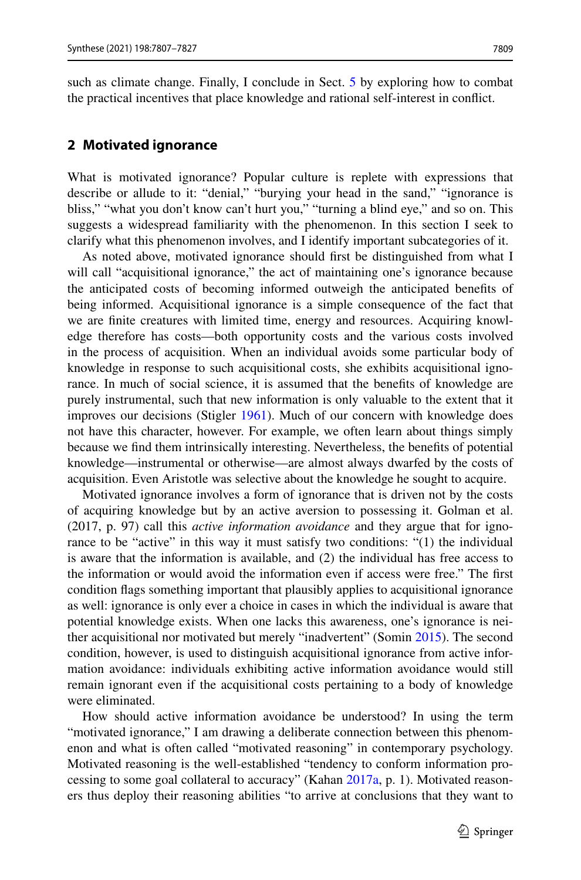such as climate change. Finally, I conclude in Sect. [5](#page-16-0) by exploring how to combat the practical incentives that place knowledge and rational self-interest in confict.

## <span id="page-2-0"></span>**2 Motivated ignorance**

What is motivated ignorance? Popular culture is replete with expressions that describe or allude to it: "denial," "burying your head in the sand," "ignorance is bliss," "what you don't know can't hurt you," "turning a blind eye," and so on. This suggests a widespread familiarity with the phenomenon. In this section I seek to clarify what this phenomenon involves, and I identify important subcategories of it.

As noted above, motivated ignorance should frst be distinguished from what I will call "acquisitional ignorance," the act of maintaining one's ignorance because the anticipated costs of becoming informed outweigh the anticipated benefts of being informed. Acquisitional ignorance is a simple consequence of the fact that we are finite creatures with limited time, energy and resources. Acquiring knowl– edge therefore has costs—both opportunity costs and the various costs involved in the process of acquisition. When an individual avoids some particular body of knowledge in response to such acquisitional costs, she exhibits acquisitional ignorance. In much of social science, it is assumed that the benefts of knowledge are purely instrumental, such that new information is only valuable to the extent that it improves our decisions (Stigler [1961](#page-19-9)). Much of our concern with knowledge does not have this character, however. For example, we often learn about things simply because we fnd them intrinsically interesting. Nevertheless, the benefts of potential knowledge—instrumental or otherwise—are almost always dwarfed by the costs of acquisition. Even Aristotle was selective about the knowledge he sought to acquire.

Motivated ignorance involves a form of ignorance that is driven not by the costs of acquiring knowledge but by an active aversion to possessing it. Golman et al. (2017, p. 97) call this *active information avoidance* and they argue that for ignorance to be "active" in this way it must satisfy two conditions: "(1) the individual is aware that the information is available, and (2) the individual has free access to the information or would avoid the information even if access were free." The frst condition fags something important that plausibly applies to acquisitional ignorance as well: ignorance is only ever a choice in cases in which the individual is aware that potential knowledge exists. When one lacks this awareness, one's ignorance is neither acquisitional nor motivated but merely "inadvertent" (Somin [2015](#page-19-3)). The second condition, however, is used to distinguish acquisitional ignorance from active information avoidance: individuals exhibiting active information avoidance would still remain ignorant even if the acquisitional costs pertaining to a body of knowledge were eliminated.

How should active information avoidance be understood? In using the term "motivated ignorance," I am drawing a deliberate connection between this phenom‑ enon and what is often called "motivated reasoning" in contemporary psychology. Motivated reasoning is the well-established "tendency to conform information pro-cessing to some goal collateral to accuracy" (Kahan [2017a,](#page-19-10) p. 1). Motivated reasoners thus deploy their reasoning abilities "to arrive at conclusions that they want to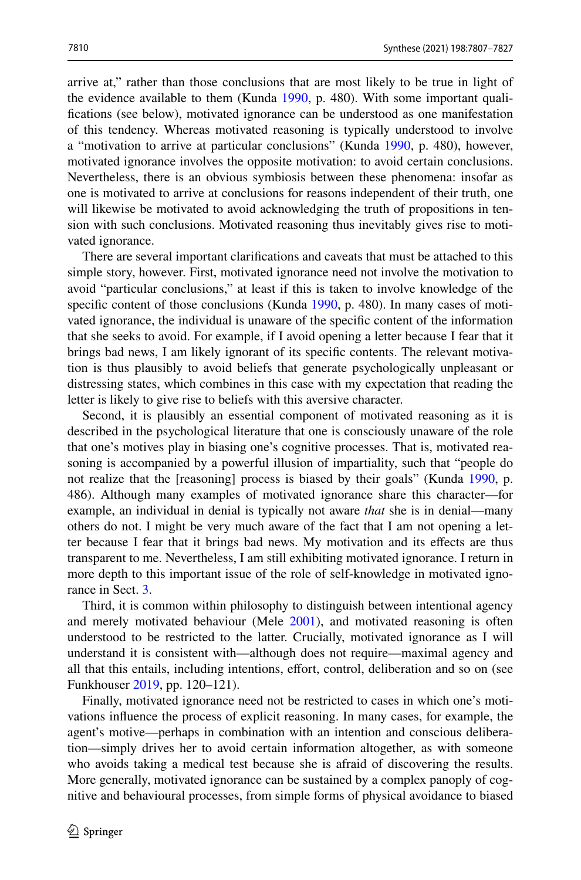arrive at," rather than those conclusions that are most likely to be true in light of the evidence available to them (Kunda [1990](#page-19-11), p. 480). With some important qualifcations (see below), motivated ignorance can be understood as one manifestation of this tendency. Whereas motivated reasoning is typically understood to involve a "motivation to arrive at particular conclusions" (Kunda [1990,](#page-19-11) p. 480), however, motivated ignorance involves the opposite motivation: to avoid certain conclusions. Nevertheless, there is an obvious symbiosis between these phenomena: insofar as one is motivated to arrive at conclusions for reasons independent of their truth, one will likewise be motivated to avoid acknowledging the truth of propositions in ten sion with such conclusions. Motivated reasoning thus inevitably gives rise to motivated ignorance.

There are several important clarifcations and caveats that must be attached to this simple story, however. First, motivated ignorance need not involve the motivation to avoid "particular conclusions," at least if this is taken to involve knowledge of the specific content of those conclusions (Kunda [1990](#page-19-11), p. 480). In many cases of motivated ignorance, the individual is unaware of the specifc content of the information that she seeks to avoid. For example, if I avoid opening a letter because I fear that it brings bad news, I am likely ignorant of its specific contents. The relevant motivation is thus plausibly to avoid beliefs that generate psychologically unpleasant or distressing states, which combines in this case with my expectation that reading the letter is likely to give rise to beliefs with this aversive character.

Second, it is plausibly an essential component of motivated reasoning as it is described in the psychological literature that one is consciously unaware of the role that one's motives play in biasing one's cognitive processes. That is, motivated rea– soning is accompanied by a powerful illusion of impartiality, such that "people do not realize that the [reasoning] process is biased by their goals" (Kunda [1990,](#page-19-11) p. 486). Although many examples of motivated ignorance share this character—for example, an individual in denial is typically not aware *that* she is in denial—many others do not. I might be very much aware of the fact that I am not opening a letter because I fear that it brings bad news. My motivation and its efects are thus transparent to me. Nevertheless, I am still exhibiting motivated ignorance. I return in more depth to this important issue of the role of self-knowledge in motivated ignorance in Sect. [3.](#page-6-0)

Third, it is common within philosophy to distinguish between intentional agency and merely motivated behaviour (Mele [2001](#page-19-12)), and motivated reasoning is often understood to be restricted to the latter. Crucially, motivated ignorance as I will understand it is consistent with—although does not require—maximal agency and all that this entails, including intentions, efort, control, deliberation and so on (see Funkhouser [2019,](#page-18-3) pp. 120–121).

Finally, motivated ignorance need not be restricted to cases in which one's motivations infuence the process of explicit reasoning. In many cases, for example, the agent's motive—perhaps in combination with an intention and conscious deliberation—simply drives her to avoid certain information altogether, as with someone who avoids taking a medical test because she is afraid of discovering the results. More generally, motivated ignorance can be sustained by a complex panoply of cognitive and behavioural processes, from simple forms of physical avoidance to biased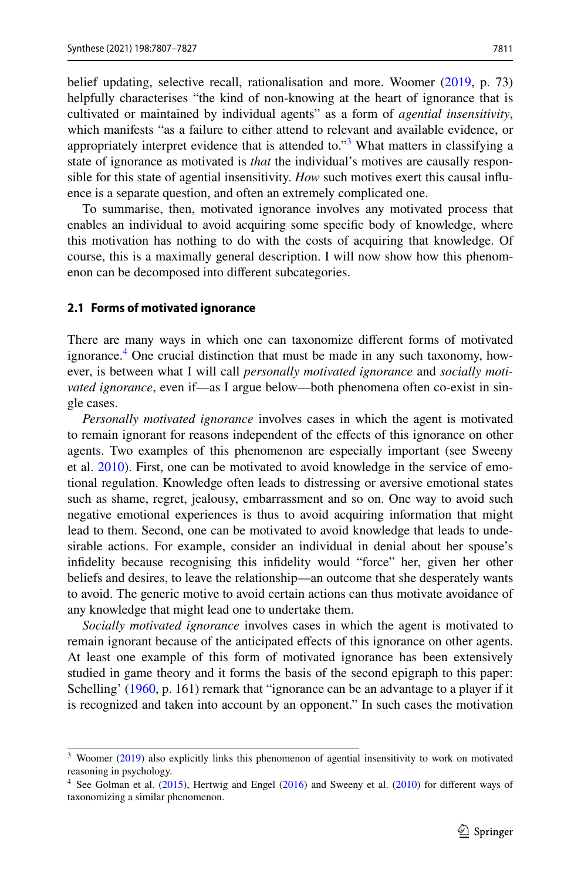belief updating, selective recall, rationalisation and more. Woomer ([2019,](#page-20-0) p. 73) helpfully characterises "the kind of non-knowing at the heart of ignorance that is cultivated or maintained by individual agents" as a form of *agential insensitivity*, which manifests "as a failure to either attend to relevant and available evidence, or appropriately interpret evidence that is attended to."<sup>3</sup> What matters in classifying a state of ignorance as motivated is *that* the individual's motives are causally responsible for this state of agential insensitivity. *How* such motives exert this causal influence is a separate question, and often an extremely complicated one.

To summarise, then, motivated ignorance involves any motivated process that enables an individual to avoid acquiring some specifc body of knowledge, where this motivation has nothing to do with the costs of acquiring that knowledge. Of course, this is a maximally general description. I will now show how this phenom– enon can be decomposed into diferent subcategories.

#### <span id="page-4-2"></span>**2.1 Forms of motivated ignorance**

There are many ways in which one can taxonomize diferent forms of motivated ignorance.<sup>[4](#page-4-1)</sup> One crucial distinction that must be made in any such taxonomy, however, is between what I will call *personally motivated ignorance* and *socially motivated ignorance*, even if—as I argue below—both phenomena often co-exist in single cases.

*Personally motivated ignorance* involves cases in which the agent is motivated to remain ignorant for reasons independent of the efects of this ignorance on other agents. Two examples of this phenomenon are especially important (see Sweeny et al.  $2010$ ). First, one can be motivated to avoid knowledge in the service of emotional regulation. Knowledge often leads to distressing or aversive emotional states such as shame, regret, jealousy, embarrassment and so on. One way to avoid such negative emotional experiences is thus to avoid acquiring information that might lead to them. Second, one can be motivated to avoid knowledge that leads to undesirable actions. For example, consider an individual in denial about her spouse's infdelity because recognising this infdelity would "force" her, given her other beliefs and desires, to leave the relationship—an outcome that she desperately wants to avoid. The generic motive to avoid certain actions can thus motivate avoidance of any knowledge that might lead one to undertake them.

*Socially motivated ignorance* involves cases in which the agent is motivated to remain ignorant because of the anticipated efects of this ignorance on other agents. At least one example of this form of motivated ignorance has been extensively studied in game theory and it forms the basis of the second epigraph to this paper: Schelling' ([1960,](#page-19-1) p. 161) remark that "ignorance can be an advantage to a player if it is recognized and taken into account by an opponent." In such cases the motivation

<span id="page-4-0"></span><sup>&</sup>lt;sup>3</sup> Woomer ([2019\)](#page-20-0) also explicitly links this phenomenon of agential insensitivity to work on motivated reasoning in psychology.

<span id="page-4-1"></span><sup>&</sup>lt;sup>4</sup> See Golman et al. ([2015\)](#page-18-2), Hertwig and Engel ([2016\)](#page-19-7) and Sweeny et al. ([2010\)](#page-19-8) for different ways of taxonomizing a similar phenomenon.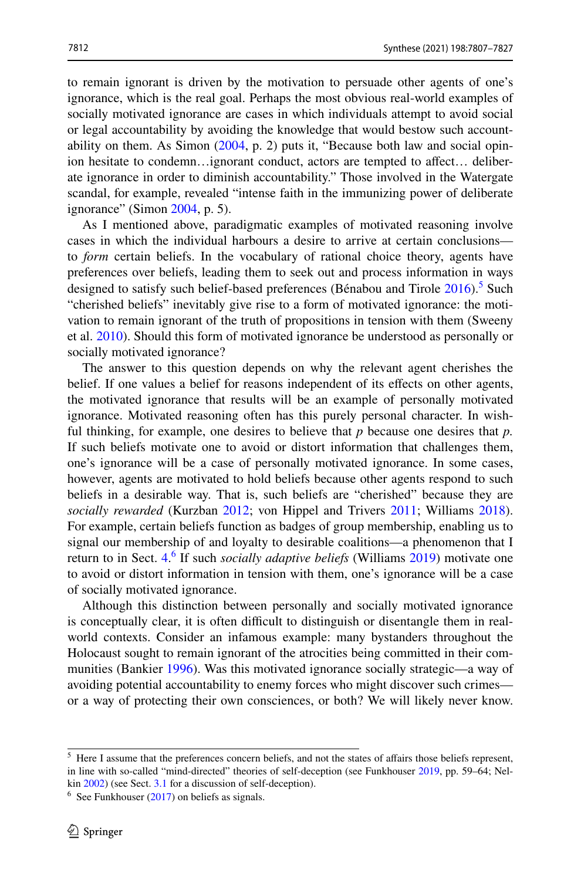to remain ignorant is driven by the motivation to persuade other agents of one's ignorance, which is the real goal. Perhaps the most obvious real-world examples of socially motivated ignorance are cases in which individuals attempt to avoid social or legal accountability by avoiding the knowledge that would bestow such accountability on them. As Simon  $(2004, p. 2)$  $(2004, p. 2)$  puts it, "Because both law and social opinion hesitate to condemn...ignorant conduct, actors are tempted to affect... deliberate ignorance in order to diminish accountability." Those involved in the Watergate scandal, for example, revealed "intense faith in the immunizing power of deliberate ignorance" (Simon  $2004$ , p. 5).

As I mentioned above, paradigmatic examples of motivated reasoning involve cases in which the individual harbours a desire to arrive at certain conclusions to *form* certain beliefs. In the vocabulary of rational choice theory, agents have preferences over beliefs, leading them to seek out and process information in ways designed to satisfy such belief-based preferences (Bénabou and Tirole [2016](#page-18-4)).<sup>5</sup> Such "cherished beliefs" inevitably give rise to a form of motivated ignorance: the moti‑ vation to remain ignorant of the truth of propositions in tension with them (Sweeny et al. [2010\)](#page-19-8). Should this form of motivated ignorance be understood as personally or socially motivated ignorance?

The answer to this question depends on why the relevant agent cherishes the belief. If one values a belief for reasons independent of its efects on other agents, the motivated ignorance that results will be an example of personally motivated ignorance. Motivated reasoning often has this purely personal character. In wishful thinking, for example, one desires to believe that *p* because one desires that *p.* If such beliefs motivate one to avoid or distort information that challenges them, one's ignorance will be a case of personally motivated ignorance. In some cases, however, agents are motivated to hold beliefs because other agents respond to such beliefs in a desirable way. That is, such beliefs are "cherished" because they are *socially rewarded* (Kurzban [2012;](#page-19-14) von Hippel and Trivers [2011;](#page-20-4) Williams [2018\)](#page-20-5). For example, certain beliefs function as badges of group membership, enabling us to signal our membership of and loyalty to desirable coalitions—a phenomenon that I return to in Sect. [4](#page-11-0). [6](#page-5-1) If such *socially adaptive beliefs* (Williams [2019\)](#page-20-6) motivate one to avoid or distort information in tension with them, one's ignorance will be a case of socially motivated ignorance.

Although this distinction between personally and socially motivated ignorance is conceptually clear, it is often difficult to distinguish or disentangle them in realworld contexts. Consider an infamous example: many bystanders throughout the Holocaust sought to remain ignorant of the atrocities being committed in their com‑ munities (Bankier [1996](#page-18-5)). Was this motivated ignorance socially strategic—a way of avoiding potential accountability to enemy forces who might discover such crimes or a way of protecting their own consciences, or both? We will likely never know.

<span id="page-5-0"></span><sup>&</sup>lt;sup>5</sup> Here I assume that the preferences concern beliefs, and not the states of affairs those beliefs represent, in line with so-called "mind-directed" theories of self-deception (see Funkhouser [2019,](#page-18-3) pp. 59–64; Nel– kin [2002](#page-19-15)) (see Sect. [3.1](#page-9-0) for a discussion of self-deception).

<span id="page-5-1"></span> $6$  See Funkhouser ([2017\)](#page-18-6) on beliefs as signals.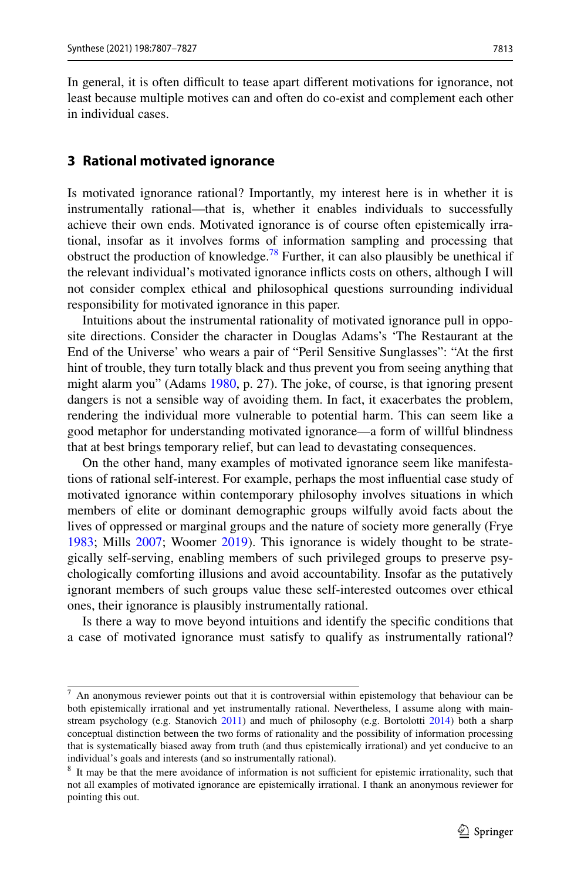In general, it is often difficult to tease apart different motivations for ignorance, not least because multiple motives can and often do co-exist and complement each other in individual cases.

### <span id="page-6-0"></span>**3 Rational motivated ignorance**

Is motivated ignorance rational? Importantly, my interest here is in whether it is instrumentally rational—that is, whether it enables individuals to successfully achieve their own ends. Motivated ignorance is of course often epistemically irrational, insofar as it involves forms of information sampling and processing that obstruct the production of knowledge.<sup>[7](#page-6-1)[8](#page-6-2)</sup> Further, it can also plausibly be unethical if the relevant individual's motivated ignorance inficts costs on others, although I will not consider complex ethical and philosophical questions surrounding individual responsibility for motivated ignorance in this paper.

Intuitions about the instrumental rationality of motivated ignorance pull in opposite directions. Consider the character in Douglas Adams's 'The Restaurant at the End of the Universe' who wears a pair of "Peril Sensitive Sunglasses": "At the frst hint of trouble, they turn totally black and thus prevent you from seeing anything that might alarm you" (Adams [1980,](#page-18-7) p. 27). The joke, of course, is that ignoring present dangers is not a sensible way of avoiding them. In fact, it exacerbates the problem, rendering the individual more vulnerable to potential harm. This can seem like a good metaphor for understanding motivated ignorance—a form of willful blindness that at best brings temporary relief, but can lead to devastating consequences.

On the other hand, many examples of motivated ignorance seem like manifestations of rational self-interest. For example, perhaps the most infuential case study of motivated ignorance within contemporary philosophy involves situations in which members of elite or dominant demographic groups wilfully avoid facts about the lives of oppressed or marginal groups and the nature of society more generally (Frye [1983](#page-18-1); Mills [2007;](#page-19-5) Woomer [2019\)](#page-20-0). This ignorance is widely thought to be strategically self-serving, enabling members of such privileged groups to preserve psychologically comforting illusions and avoid accountability. Insofar as the putatively ignorant members of such groups value these self-interested outcomes over ethical ones, their ignorance is plausibly instrumentally rational.

Is there a way to move beyond intuitions and identify the specifc conditions that a case of motivated ignorance must satisfy to qualify as instrumentally rational?

<span id="page-6-1"></span> $7$  An anonymous reviewer points out that it is controversial within epistemology that behaviour can be both epistemically irrational and yet instrumentally rational. Nevertheless, I assume along with main-stream psychology (e.g. Stanovich [2011](#page-19-16)) and much of philosophy (e.g. Bortolotti [2014\)](#page-18-8) both a sharp conceptual distinction between the two forms of rationality and the possibility of information processing that is systematically biased away from truth (and thus epistemically irrational) and yet conducive to an individual's goals and interests (and so instrumentally rational).

<span id="page-6-2"></span> $8$  It may be that the mere avoidance of information is not sufficient for epistemic irrationality, such that not all examples of motivated ignorance are epistemically irrational. I thank an anonymous reviewer for pointing this out.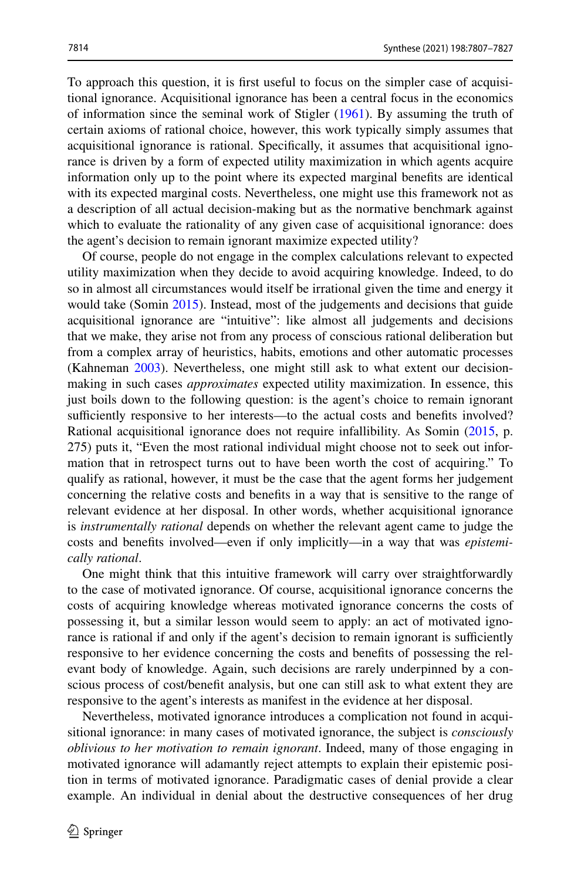To approach this question, it is first useful to focus on the simpler case of acquisitional ignorance. Acquisitional ignorance has been a central focus in the economics of information since the seminal work of Stigler [\(1961](#page-19-9)). By assuming the truth of certain axioms of rational choice, however, this work typically simply assumes that acquisitional ignorance is rational. Specifically, it assumes that acquisitional ignorance is driven by a form of expected utility maximization in which agents acquire information only up to the point where its expected marginal benefts are identical with its expected marginal costs. Nevertheless, one might use this framework not as a description of all actual decision-making but as the normative benchmark against which to evaluate the rationality of any given case of acquisitional ignorance: does the agent's decision to remain ignorant maximize expected utility?

Of course, people do not engage in the complex calculations relevant to expected utility maximization when they decide to avoid acquiring knowledge. Indeed, to do so in almost all circumstances would itself be irrational given the time and energy it would take (Somin [2015](#page-19-3)). Instead, most of the judgements and decisions that guide acquisitional ignorance are "intuitive": like almost all judgements and decisions that we make, they arise not from any process of conscious rational deliberation but from a complex array of heuristics, habits, emotions and other automatic processes (Kahneman [2003\)](#page-19-17). Nevertheless, one might still ask to what extent our decisionmaking in such cases *approximates* expected utility maximization. In essence, this just boils down to the following question: is the agent's choice to remain ignorant sufficiently responsive to her interests—to the actual costs and benefits involved? Rational acquisitional ignorance does not require infallibility. As Somin ([2015,](#page-19-3) p. 275) puts it, "Even the most rational individual might choose not to seek out infor‑ mation that in retrospect turns out to have been worth the cost of acquiring." To qualify as rational, however, it must be the case that the agent forms her judgement concerning the relative costs and benefts in a way that is sensitive to the range of relevant evidence at her disposal. In other words, whether acquisitional ignorance is *instrumentally rational* depends on whether the relevant agent came to judge the costs and benefts involved—even if only implicitly—in a way that was *epistemically rational*.

One might think that this intuitive framework will carry over straightforwardly to the case of motivated ignorance. Of course, acquisitional ignorance concerns the costs of acquiring knowledge whereas motivated ignorance concerns the costs of possessing it, but a similar lesson would seem to apply: an act of motivated ignorance is rational if and only if the agent's decision to remain ignorant is sufficiently responsive to her evidence concerning the costs and benefits of possessing the relevant body of knowledge. Again, such decisions are rarely underpinned by a conscious process of cost/beneft analysis, but one can still ask to what extent they are responsive to the agent's interests as manifest in the evidence at her disposal.

Nevertheless, motivated ignorance introduces a complication not found in acquisitional ignorance: in many cases of motivated ignorance, the subject is *consciously oblivious to her motivation to remain ignorant*. Indeed, many of those engaging in motivated ignorance will adamantly reject attempts to explain their epistemic position in terms of motivated ignorance. Paradigmatic cases of denial provide a clear example. An individual in denial about the destructive consequences of her drug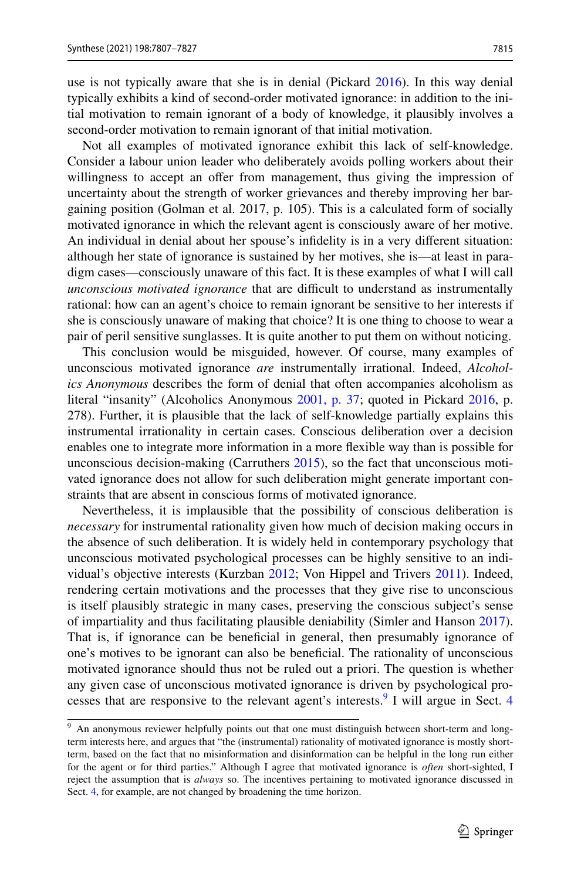use is not typically aware that she is in denial (Pickard [2016](#page-19-18)). In this way denial typically exhibits a kind of second-order motivated ignorance: in addition to the ini‑ tial motivation to remain ignorant of a body of knowledge, it plausibly involves a second-order motivation to remain ignorant of that initial motivation.

Not all examples of motivated ignorance exhibit this lack of self-knowledge. Consider a labour union leader who deliberately avoids polling workers about their willingness to accept an offer from management, thus giving the impression of uncertainty about the strength of worker grievances and thereby improving her bar‑ gaining position (Golman et al. 2017, p. 105). This is a calculated form of socially motivated ignorance in which the relevant agent is consciously aware of her motive. An individual in denial about her spouse's infdelity is in a very diferent situation: although her state of ignorance is sustained by her motives, she is—at least in para– digm cases—consciously unaware of this fact. It is these examples of what I will call *unconscious motivated ignorance* that are difficult to understand as instrumentally rational: how can an agent's choice to remain ignorant be sensitive to her interests if she is consciously unaware of making that choice? It is one thing to choose to wear a pair of peril sensitive sunglasses. It is quite another to put them on without noticing.

This conclusion would be misguided, however. Of course, many examples of unconscious motivated ignorance *are* instrumentally irrational. Indeed, *Alcoholics Anonymous* describes the form of denial that often accompanies alcoholism as literal "insanity" (Alcoholics Anonymous [2001, p. 37](#page-18-9); quoted in Pickard [2016,](#page-19-18) p. 278). Further, it is plausible that the lack of self-knowledge partially explains this instrumental irrationality in certain cases. Conscious deliberation over a decision enables one to integrate more information in a more fexible way than is possible for unconscious decision-making (Carruthers  $2015$ ), so the fact that unconscious motivated ignorance does not allow for such deliberation might generate important constraints that are absent in conscious forms of motivated ignorance.

Nevertheless, it is implausible that the possibility of conscious deliberation is *necessary* for instrumental rationality given how much of decision making occurs in the absence of such deliberation. It is widely held in contemporary psychology that unconscious motivated psychological processes can be highly sensitive to an indi‑ vidual's objective interests (Kurzban [2012](#page-19-14); Von Hippel and Trivers [2011](#page-20-4)). Indeed, rendering certain motivations and the processes that they give rise to unconscious is itself plausibly strategic in many cases, preserving the conscious subject's sense of impartiality and thus facilitating plausible deniability (Simler and Hanson [2017\)](#page-19-19). That is, if ignorance can be beneficial in general, then presumably ignorance of one's motives to be ignorant can also be benefcial. The rationality of unconscious motivated ignorance should thus not be ruled out a priori. The question is whether any given case of unconscious motivated ignorance is driven by psychological pro-cesses that are responsive to the relevant agent's interests.<sup>[9](#page-8-0)</sup> I will argue in Sect. [4](#page-11-0)

<span id="page-8-0"></span><sup>&</sup>lt;sup>9</sup> An anonymous reviewer helpfully points out that one must distinguish between short-term and longterm interests here, and argues that "the (instrumental) rationality of motivated ignorance is mostly shortterm, based on the fact that no misinformation and disinformation can be helpful in the long run either for the agent or for third parties." Although I agree that motivated ignorance is *often* short-sighted, I reject the assumption that is *always* so. The incentives pertaining to motivated ignorance discussed in Sect. [4,](#page-11-0) for example, are not changed by broadening the time horizon.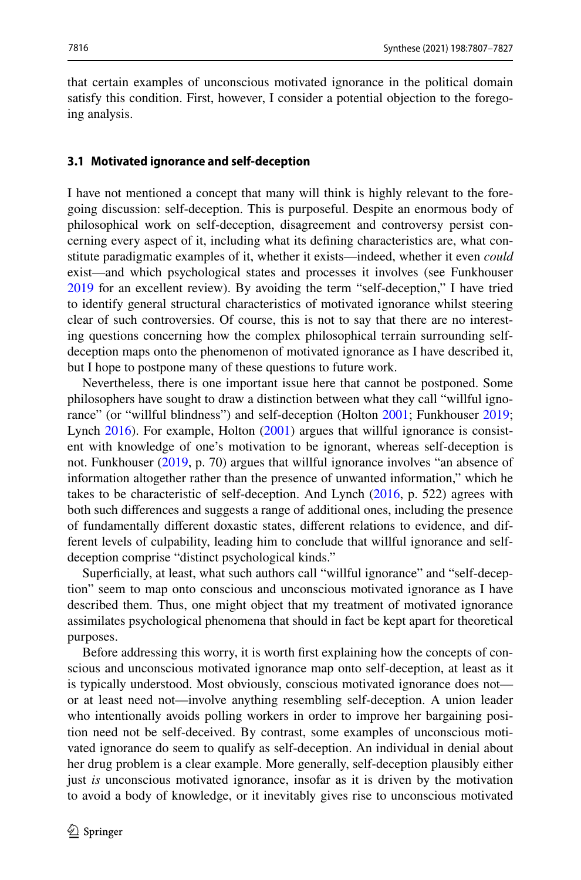that certain examples of unconscious motivated ignorance in the political domain satisfy this condition. First, however, I consider a potential objection to the foregoing analysis.

#### <span id="page-9-0"></span>**3.1 Motivated ignorance and self‑deception**

I have not mentioned a concept that many will think is highly relevant to the fore‑ going discussion: self-deception. This is purposeful. Despite an enormous body of philosophical work on self-deception, disagreement and controversy persist concerning every aspect of it, including what its defining characteristics are, what constitute paradigmatic examples of it, whether it exists—indeed, whether it even *could* exist—and which psychological states and processes it involves (see Funkhouser [2019](#page-18-3) for an excellent review). By avoiding the term "self-deception," I have tried to identify general structural characteristics of motivated ignorance whilst steering clear of such controversies. Of course, this is not to say that there are no interesting questions concerning how the complex philosophical terrain surrounding selfdeception maps onto the phenomenon of motivated ignorance as I have described it, but I hope to postpone many of these questions to future work.

Nevertheless, there is one important issue here that cannot be postponed. Some philosophers have sought to draw a distinction between what they call "willful ignorance" (or "willful blindness") and self-deception (Holton [2001](#page-19-20); Funkhouser [2019;](#page-18-3) Lynch  $2016$ ). For example, Holton  $(2001)$  $(2001)$  argues that willful ignorance is consistent with knowledge of one's motivation to be ignorant, whereas self-deception is not. Funkhouser ([2019,](#page-18-3) p. 70) argues that willful ignorance involves "an absence of information altogether rather than the presence of unwanted information," which he takes to be characteristic of self-deception. And Lynch ([2016,](#page-19-6) p. 522) agrees with both such diferences and suggests a range of additional ones, including the presence of fundamentally diferent doxastic states, diferent relations to evidence, and dif‑ ferent levels of culpability, leading him to conclude that willful ignorance and selfdeception comprise "distinct psychological kinds."

Superficially, at least, what such authors call "willful ignorance" and "self-deception" seem to map onto conscious and unconscious motivated ignorance as I have described them. Thus, one might object that my treatment of motivated ignorance assimilates psychological phenomena that should in fact be kept apart for theoretical purposes.

Before addressing this worry, it is worth first explaining how the concepts of conscious and unconscious motivated ignorance map onto self-deception, at least as it is typically understood. Most obviously, conscious motivated ignorance does not or at least need not—involve anything resembling self-deception. A union leader who intentionally avoids polling workers in order to improve her bargaining position need not be self-deceived. By contrast, some examples of unconscious motivated ignorance do seem to qualify as self-deception. An individual in denial about her drug problem is a clear example. More generally, self-deception plausibly either just *is* unconscious motivated ignorance, insofar as it is driven by the motivation to avoid a body of knowledge, or it inevitably gives rise to unconscious motivated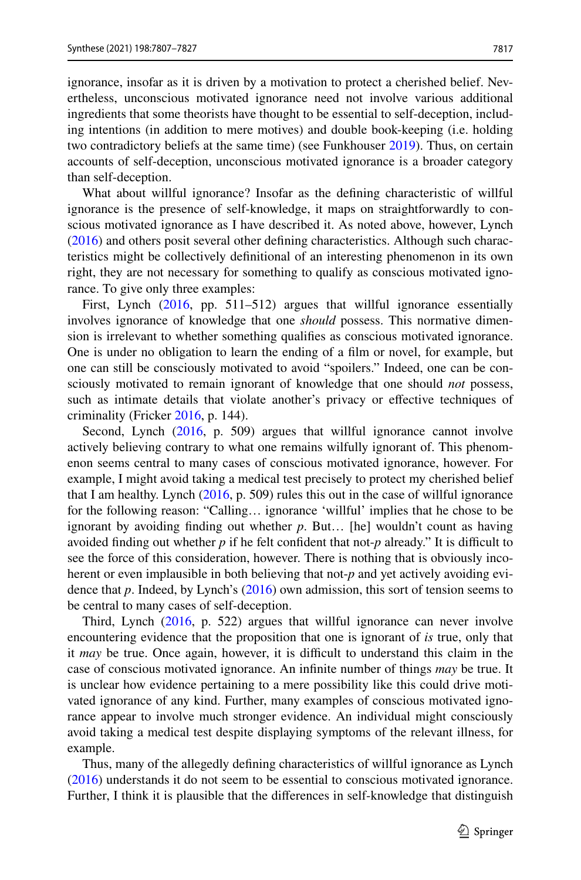ignorance, insofar as it is driven by a motivation to protect a cherished belief. Nevertheless, unconscious motivated ignorance need not involve various additional ingredients that some theorists have thought to be essential to self-deception, including intentions (in addition to mere motives) and double book-keeping (i.e. holding two contradictory beliefs at the same time) (see Funkhouser [2019](#page-18-3)). Thus, on certain accounts of self-deception, unconscious motivated ignorance is a broader category than self-deception.

What about willful ignorance? Insofar as the defning characteristic of willful ignorance is the presence of self-knowledge, it maps on straightforwardly to conscious motivated ignorance as I have described it. As noted above, however, Lynch [\(2016](#page-19-6)) and others posit several other defining characteristics. Although such characteristics might be collectively defnitional of an interesting phenomenon in its own right, they are not necessary for something to qualify as conscious motivated ignorance. To give only three examples:

First, Lynch ([2016,](#page-19-6) pp. 511-512) argues that willful ignorance essentially involves ignorance of knowledge that one *should* possess. This normative dimension is irrelevant to whether something qualifes as conscious motivated ignorance. One is under no obligation to learn the ending of a flm or novel, for example, but one can still be consciously motivated to avoid "spoilers." Indeed, one can be consciously motivated to remain ignorant of knowledge that one should *not* possess, such as intimate details that violate another's privacy or efective techniques of criminality (Fricker [2016](#page-18-11), p. 144).

Second, Lynch ([2016,](#page-19-6) p. 509) argues that willful ignorance cannot involve actively believing contrary to what one remains wilfully ignorant of. This phenomenon seems central to many cases of conscious motivated ignorance, however. For example, I might avoid taking a medical test precisely to protect my cherished belief that I am healthy. Lynch  $(2016, p. 509)$  $(2016, p. 509)$  $(2016, p. 509)$  rules this out in the case of willful ignorance for the following reason: "Calling… ignorance 'willful' implies that he chose to be ignorant by avoiding fnding out whether *p*. But… [he] wouldn't count as having avoided finding out whether  $p$  if he felt confident that not- $p$  already." It is difficult to see the force of this consideration, however. There is nothing that is obviously incoherent or even implausible in both believing that not-*p* and yet actively avoiding evidence that *p*. Indeed, by Lynch's ([2016\)](#page-19-6) own admission, this sort of tension seems to be central to many cases of self-deception.

Third, Lynch [\(2016](#page-19-6), p. 522) argues that willful ignorance can never involve encountering evidence that the proposition that one is ignorant of *is* true, only that it *may* be true. Once again, however, it is difficult to understand this claim in the case of conscious motivated ignorance. An infnite number of things *may* be true. It is unclear how evidence pertaining to a mere possibility like this could drive motivated ignorance of any kind. Further, many examples of conscious motivated ignorance appear to involve much stronger evidence. An individual might consciously avoid taking a medical test despite displaying symptoms of the relevant illness, for example.

Thus, many of the allegedly defning characteristics of willful ignorance as Lynch [\(2016](#page-19-6)) understands it do not seem to be essential to conscious motivated ignorance. Further, I think it is plausible that the diferences in self-knowledge that distinguish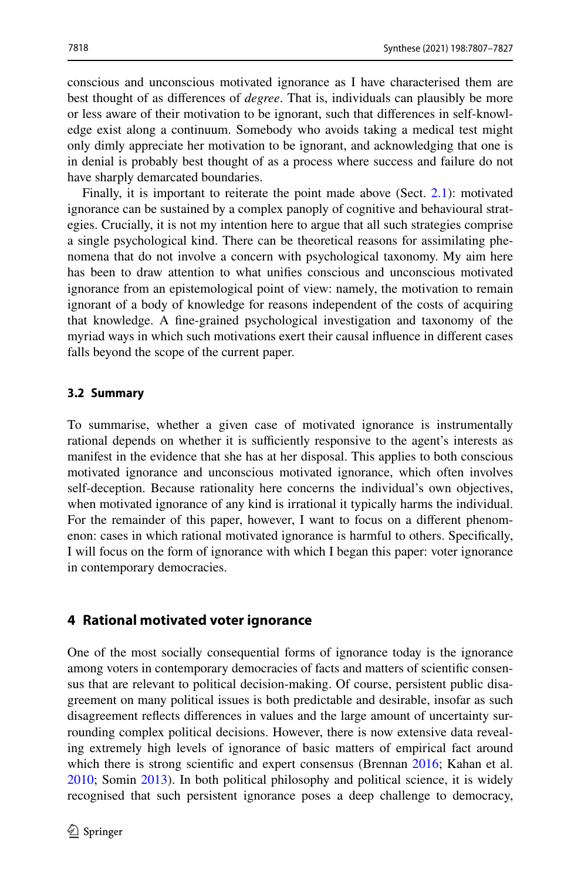conscious and unconscious motivated ignorance as I have characterised them are best thought of as diferences of *degree*. That is, individuals can plausibly be more or less aware of their motivation to be ignorant, such that differences in self-knowl– edge exist along a continuum. Somebody who avoids taking a medical test might only dimly appreciate her motivation to be ignorant, and acknowledging that one is in denial is probably best thought of as a process where success and failure do not have sharply demarcated boundaries.

Finally, it is important to reiterate the point made above (Sect. [2.1\)](#page-4-2): motivated ignorance can be sustained by a complex panoply of cognitive and behavioural strat‑ egies. Crucially, it is not my intention here to argue that all such strategies comprise a single psychological kind. There can be theoretical reasons for assimilating phenomena that do not involve a concern with psychological taxonomy. My aim here has been to draw attention to what unifes conscious and unconscious motivated ignorance from an epistemological point of view: namely, the motivation to remain ignorant of a body of knowledge for reasons independent of the costs of acquiring that knowledge. A fne-grained psychological investigation and taxonomy of the myriad ways in which such motivations exert their causal infuence in diferent cases falls beyond the scope of the current paper.

#### **3.2 Summary**

To summarise, whether a given case of motivated ignorance is instrumentally rational depends on whether it is sufficiently responsive to the agent's interests as manifest in the evidence that she has at her disposal. This applies to both conscious motivated ignorance and unconscious motivated ignorance, which often involves self-deception. Because rationality here concerns the individual's own objectives, when motivated ignorance of any kind is irrational it typically harms the individual. For the remainder of this paper, however, I want to focus on a different phenomenon: cases in which rational motivated ignorance is harmful to others. Specifcally, I will focus on the form of ignorance with which I began this paper: voter ignorance in contemporary democracies.

### <span id="page-11-0"></span>**4 Rational motivated voter ignorance**

One of the most socially consequential forms of ignorance today is the ignorance among voters in contemporary democracies of facts and matters of scientific consensus that are relevant to political decision-making. Of course, persistent public disagreement on many political issues is both predictable and desirable, insofar as such disagreement reflects differences in values and the large amount of uncertainty surrounding complex political decisions. However, there is now extensive data reveal– ing extremely high levels of ignorance of basic matters of empirical fact around which there is strong scientific and expert consensus (Brennan [2016;](#page-18-12) Kahan et al. [2010](#page-19-21); Somin [2013\)](#page-19-22). In both political philosophy and political science, it is widely recognised that such persistent ignorance poses a deep challenge to democracy,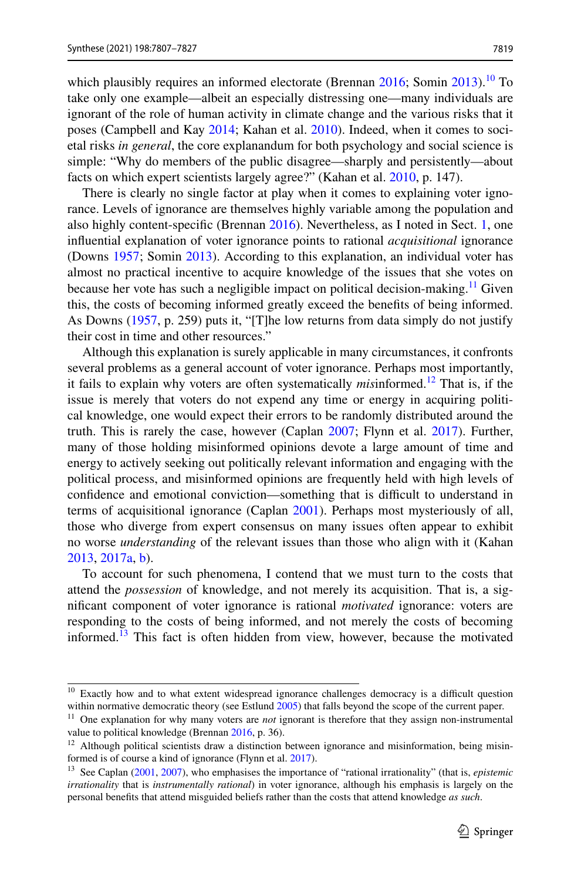which plausibly requires an informed electorate (Brennan [2016;](#page-18-12) Somin [2013\)](#page-19-22).<sup>10</sup> To take only one example—albeit an especially distressing one—many individuals are ignorant of the role of human activity in climate change and the various risks that it poses (Campbell and Kay [2014;](#page-18-13) Kahan et al. [2010](#page-19-21)). Indeed, when it comes to societal risks *in general*, the core explanandum for both psychology and social science is simple: "Why do members of the public disagree—sharply and persistently—about facts on which expert scientists largely agree?" (Kahan et al. [2010,](#page-19-21) p. 147).

There is clearly no single factor at play when it comes to explaining voter ignorance. Levels of ignorance are themselves highly variable among the population and also highly content-specifc (Brennan [2016\)](#page-18-12). Nevertheless, as I noted in Sect. [1,](#page-1-2) one infuential explanation of voter ignorance points to rational *acquisitional* ignorance (Downs [1957;](#page-18-0) Somin [2013\)](#page-19-22). According to this explanation, an individual voter has almost no practical incentive to acquire knowledge of the issues that she votes on because her vote has such a negligible impact on political decision-making.<sup>11</sup> Given this, the costs of becoming informed greatly exceed the benefts of being informed. As Downs [\(1957](#page-18-0), p. 259) puts it, "[T]he low returns from data simply do not justify their cost in time and other resources."

Although this explanation is surely applicable in many circumstances, it confronts several problems as a general account of voter ignorance. Perhaps most importantly, it fails to explain why voters are often systematically *mis*informed.[12](#page-12-2) That is, if the issue is merely that voters do not expend any time or energy in acquiring political knowledge, one would expect their errors to be randomly distributed around the truth. This is rarely the case, however (Caplan [2007](#page-18-14); Flynn et al. [2017\)](#page-18-15). Further, many of those holding misinformed opinions devote a large amount of time and energy to actively seeking out politically relevant information and engaging with the political process, and misinformed opinions are frequently held with high levels of confidence and emotional conviction—something that is difficult to understand in terms of acquisitional ignorance (Caplan [2001\)](#page-18-16). Perhaps most mysteriously of all, those who diverge from expert consensus on many issues often appear to exhibit no worse *understanding* of the relevant issues than those who align with it (Kahan [2013](#page-19-23), [2017a](#page-19-10), [b](#page-19-24)).

To account for such phenomena, I contend that we must turn to the costs that attend the *possession* of knowledge, and not merely its acquisition. That is, a signifcant component of voter ignorance is rational *motivated* ignorance: voters are responding to the costs of being informed, and not merely the costs of becoming informed.<sup>[13](#page-12-3)</sup> This fact is often hidden from view, however, because the motivated

<span id="page-12-0"></span><sup>&</sup>lt;sup>10</sup> Exactly how and to what extent widespread ignorance challenges democracy is a difficult question within normative democratic theory (see Estlund [2005](#page-18-17)) that falls beyond the scope of the current paper.

<span id="page-12-1"></span><sup>11</sup> One explanation for why many voters are *not* ignorant is therefore that they assign non-instrumental value to political knowledge (Brennan [2016,](#page-18-12) p. 36).

<span id="page-12-2"></span> $12$  Although political scientists draw a distinction between ignorance and misinformation, being misinformed is of course a kind of ignorance (Flynn et al. [2017\)](#page-18-15).

<span id="page-12-3"></span><sup>13</sup> See Caplan ([2001,](#page-18-16) [2007\)](#page-18-14), who emphasises the importance of "rational irrationality" (that is, *epistemic irrationality* that is *instrumentally rational*) in voter ignorance, although his emphasis is largely on the personal benefts that attend misguided beliefs rather than the costs that attend knowledge *as such*.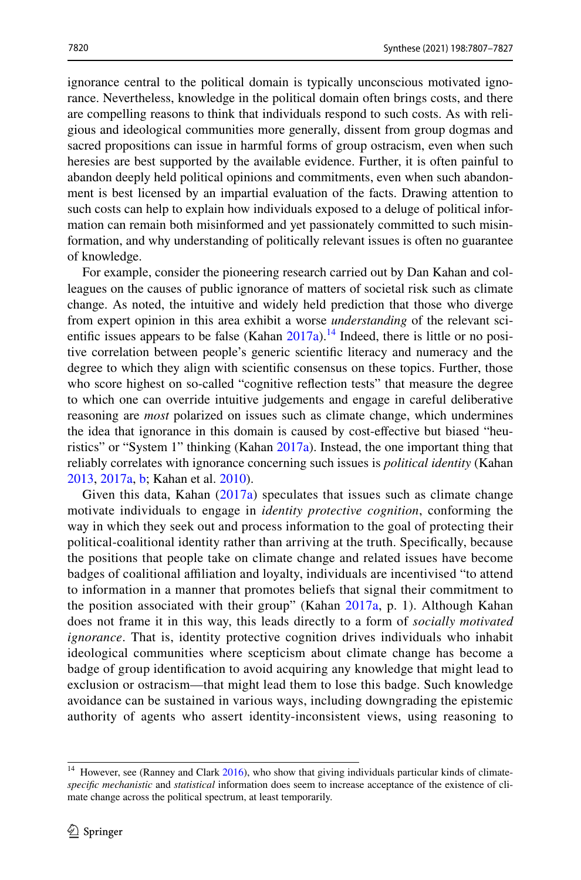ignorance central to the political domain is typically unconscious motivated ignorance. Nevertheless, knowledge in the political domain often brings costs, and there are compelling reasons to think that individuals respond to such costs. As with religious and ideological communities more generally, dissent from group dogmas and sacred propositions can issue in harmful forms of group ostracism, even when such heresies are best supported by the available evidence. Further, it is often painful to abandon deeply held political opinions and commitments, even when such abandon– ment is best licensed by an impartial evaluation of the facts. Drawing attention to such costs can help to explain how individuals exposed to a deluge of political information can remain both misinformed and yet passionately committed to such misinformation, and why understanding of politically relevant issues is often no guarantee of knowledge.

For example, consider the pioneering research carried out by Dan Kahan and colleagues on the causes of public ignorance of matters of societal risk such as climate change. As noted, the intuitive and widely held prediction that those who diverge from expert opinion in this area exhibit a worse *understanding* of the relevant scientific issues appears to be false (Kahan  $2017a$ ).<sup>14</sup> Indeed, there is little or no positive correlation between people's generic scientifc literacy and numeracy and the degree to which they align with scientifc consensus on these topics. Further, those who score highest on so-called "cognitive refection tests" that measure the degree to which one can override intuitive judgements and engage in careful deliberative reasoning are *most* polarized on issues such as climate change, which undermines the idea that ignorance in this domain is caused by cost-effective but biased "heuristics" or "System 1" thinking (Kahan [2017a\)](#page-19-10). Instead, the one important thing that reliably correlates with ignorance concerning such issues is *political identity* (Kahan [2013](#page-19-23), [2017a](#page-19-10), [b](#page-19-24); Kahan et al. [2010](#page-19-21)).

Given this data, Kahan  $(2017a)$  $(2017a)$  speculates that issues such as climate change motivate individuals to engage in *identity protective cognition*, conforming the way in which they seek out and process information to the goal of protecting their political-coalitional identity rather than arriving at the truth. Specifcally, because the positions that people take on climate change and related issues have become badges of coalitional affiliation and loyalty, individuals are incentivised "to attend to information in a manner that promotes beliefs that signal their commitment to the position associated with their group" (Kahan [2017a,](#page-19-10) p. 1). Although Kahan does not frame it in this way, this leads directly to a form of *socially motivated ignorance*. That is, identity protective cognition drives individuals who inhabit ideological communities where scepticism about climate change has become a badge of group identifcation to avoid acquiring any knowledge that might lead to exclusion or ostracism—that might lead them to lose this badge. Such knowledge avoidance can be sustained in various ways, including downgrading the epistemic authority of agents who assert identity-inconsistent views, using reasoning to

<span id="page-13-0"></span><sup>&</sup>lt;sup>14</sup> However, see (Ranney and Clark [2016](#page-19-25)), who show that giving individuals particular kinds of climate*specific mechanistic* and *statistical* information does seem to increase acceptance of the existence of climate change across the political spectrum, at least temporarily.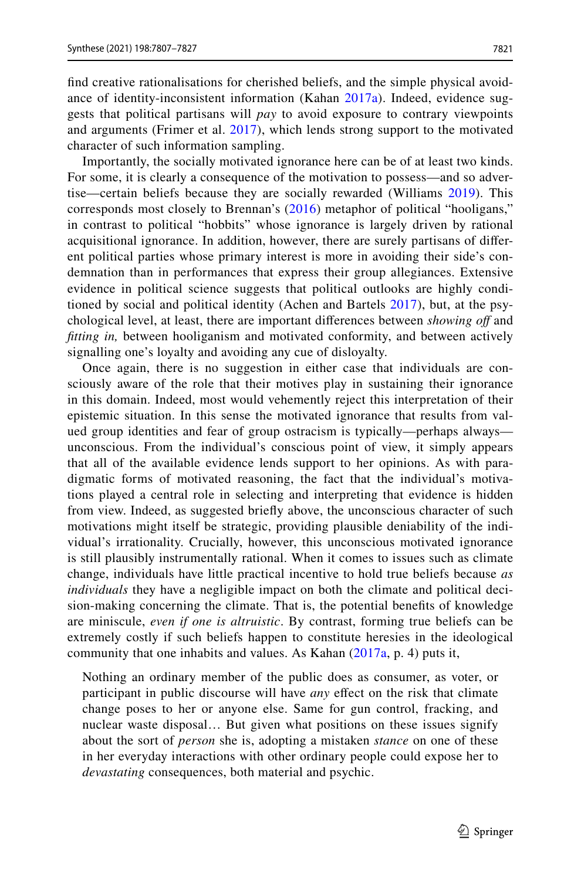find creative rationalisations for cherished beliefs, and the simple physical avoid– ance of identity-inconsistent information (Kahan [2017a\)](#page-19-10). Indeed, evidence suggests that political partisans will *pay* to avoid exposure to contrary viewpoints and arguments (Frimer et al. [2017](#page-18-18)), which lends strong support to the motivated

character of such information sampling. Importantly, the socially motivated ignorance here can be of at least two kinds. For some, it is clearly a consequence of the motivation to possess—and so advertise—certain beliefs because they are socially rewarded (Williams [2019\)](#page-20-6). This corresponds most closely to Brennan's ([2016](#page-18-12)) metaphor of political "hooligans," in contrast to political "hobbits" whose ignorance is largely driven by rational acquisitional ignorance. In addition, however, there are surely partisans of different political parties whose primary interest is more in avoiding their side's condemnation than in performances that express their group allegiances. Extensive evidence in political science suggests that political outlooks are highly conditioned by social and political identity (Achen and Bartels  $2017$ ), but, at the psychological level, at least, there are important diferences between *showing of* and *ftting in,* between hooliganism and motivated conformity, and between actively signalling one's loyalty and avoiding any cue of disloyalty.

Once again, there is no suggestion in either case that individuals are consciously aware of the role that their motives play in sustaining their ignorance in this domain. Indeed, most would vehemently reject this interpretation of their epistemic situation. In this sense the motivated ignorance that results from valued group identities and fear of group ostracism is typically—perhaps always unconscious. From the individual's conscious point of view, it simply appears that all of the available evidence lends support to her opinions. As with para– digmatic forms of motivated reasoning, the fact that the individual's motivations played a central role in selecting and interpreting that evidence is hidden from view. Indeed, as suggested briefy above, the unconscious character of such motivations might itself be strategic, providing plausible deniability of the individual's irrationality. Crucially, however, this unconscious motivated ignorance is still plausibly instrumentally rational. When it comes to issues such as climate change, individuals have little practical incentive to hold true beliefs because *as individuals* they have a negligible impact on both the climate and political decision-making concerning the climate. That is, the potential benefts of knowledge are miniscule, *even if one is altruistic*. By contrast, forming true beliefs can be extremely costly if such beliefs happen to constitute heresies in the ideological community that one inhabits and values. As Kahan  $(2017a, p. 4)$  $(2017a, p. 4)$  $(2017a, p. 4)$  puts it,

Nothing an ordinary member of the public does as consumer, as voter, or participant in public discourse will have *any* effect on the risk that climate change poses to her or anyone else. Same for gun control, fracking, and nuclear waste disposal… But given what positions on these issues signify about the sort of *person* she is, adopting a mistaken *stance* on one of these in her everyday interactions with other ordinary people could expose her to *devastating* consequences, both material and psychic.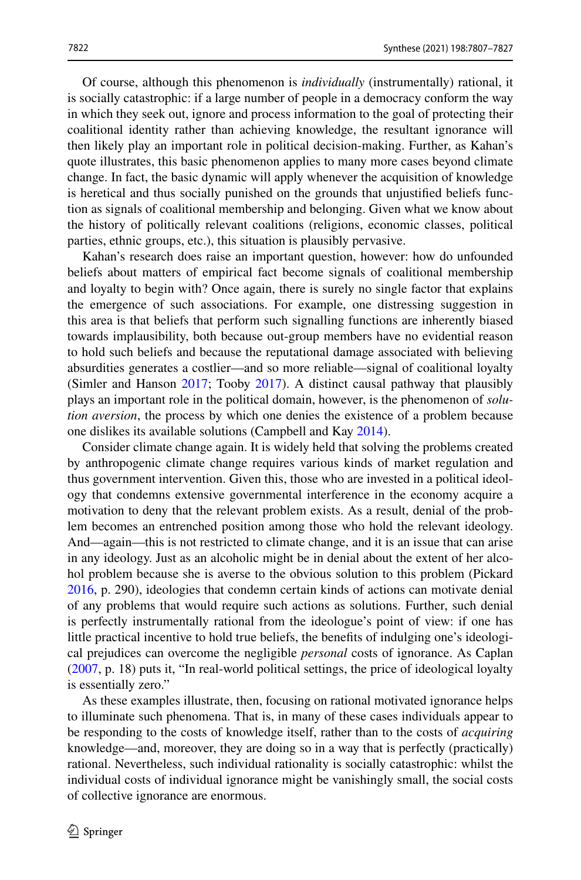Of course, although this phenomenon is *individually* (instrumentally) rational, it is socially catastrophic: if a large number of people in a democracy conform the way in which they seek out, ignore and process information to the goal of protecting their coalitional identity rather than achieving knowledge, the resultant ignorance will then likely play an important role in political decision-making. Further, as Kahan's quote illustrates, this basic phenomenon applies to many more cases beyond climate change. In fact, the basic dynamic will apply whenever the acquisition of knowledge is heretical and thus socially punished on the grounds that unjustified beliefs func– tion as signals of coalitional membership and belonging. Given what we know about the history of politically relevant coalitions (religions, economic classes, political parties, ethnic groups, etc.), this situation is plausibly pervasive.

Kahan's research does raise an important question, however: how do unfounded beliefs about matters of empirical fact become signals of coalitional membership and loyalty to begin with? Once again, there is surely no single factor that explains the emergence of such associations. For example, one distressing suggestion in this area is that beliefs that perform such signalling functions are inherently biased towards implausibility, both because out-group members have no evidential reason to hold such beliefs and because the reputational damage associated with believing absurdities generates a costlier—and so more reliable—signal of coalitional loyalty (Simler and Hanson [2017](#page-19-19); Tooby [2017](#page-20-7)). A distinct causal pathway that plausibly plays an important role in the political domain, however, is the phenomenon of *solution aversion*, the process by which one denies the existence of a problem because one dislikes its available solutions (Campbell and Kay [2014](#page-18-13)).

Consider climate change again. It is widely held that solving the problems created by anthropogenic climate change requires various kinds of market regulation and thus government intervention. Given this, those who are invested in a political ideology that condemns extensive governmental interference in the economy acquire a motivation to deny that the relevant problem exists. As a result, denial of the problem becomes an entrenched position among those who hold the relevant ideology. And—again—this is not restricted to climate change, and it is an issue that can arise in any ideology. Just as an alcoholic might be in denial about the extent of her alcohol problem because she is averse to the obvious solution to this problem (Pickard [2016](#page-19-18), p. 290), ideologies that condemn certain kinds of actions can motivate denial of any problems that would require such actions as solutions. Further, such denial is perfectly instrumentally rational from the ideologue's point of view: if one has little practical incentive to hold true beliefs, the benefits of indulging one's ideological prejudices can overcome the negligible *personal* costs of ignorance. As Caplan [\(2007](#page-18-14), p. 18) puts it, "In real-world political settings, the price of ideological loyalty is essentially zero."

As these examples illustrate, then, focusing on rational motivated ignorance helps to illuminate such phenomena. That is, in many of these cases individuals appear to be responding to the costs of knowledge itself, rather than to the costs of *acquiring* knowledge—and, moreover, they are doing so in a way that is perfectly (practically) rational. Nevertheless, such individual rationality is socially catastrophic: whilst the individual costs of individual ignorance might be vanishingly small, the social costs of collective ignorance are enormous.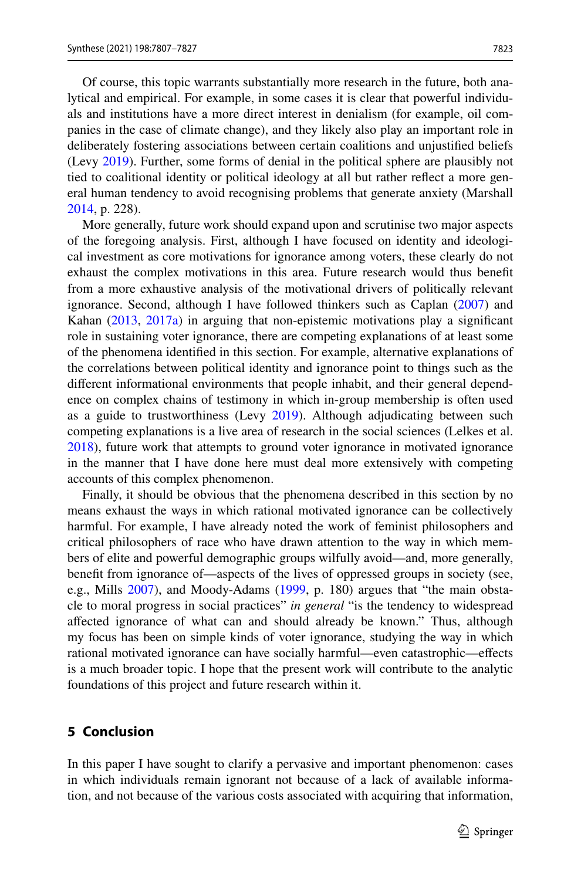7823

Of course, this topic warrants substantially more research in the future, both ana‑ lytical and empirical. For example, in some cases it is clear that powerful individuals and institutions have a more direct interest in denialism (for example, oil companies in the case of climate change), and they likely also play an important role in deliberately fostering associations between certain coalitions and unjustifed beliefs (Levy [2019\)](#page-19-26). Further, some forms of denial in the political sphere are plausibly not tied to coalitional identity or political ideology at all but rather reflect a more general human tendency to avoid recognising problems that generate anxiety (Marshall [2014](#page-19-27), p. 228).

More generally, future work should expand upon and scrutinise two major aspects of the foregoing analysis. First, although I have focused on identity and ideological investment as core motivations for ignorance among voters, these clearly do not exhaust the complex motivations in this area. Future research would thus beneft from a more exhaustive analysis of the motivational drivers of politically relevant ignorance. Second, although I have followed thinkers such as Caplan ([2007\)](#page-18-14) and Kahan [\(2013](#page-19-23), [2017a\)](#page-19-10) in arguing that non-epistemic motivations play a signifcant role in sustaining voter ignorance, there are competing explanations of at least some of the phenomena identifed in this section. For example, alternative explanations of the correlations between political identity and ignorance point to things such as the different informational environments that people inhabit, and their general dependence on complex chains of testimony in which in-group membership is often used as a guide to trustworthiness (Levy [2019\)](#page-19-26). Although adjudicating between such competing explanations is a live area of research in the social sciences (Lelkes et al. [2018](#page-19-28)), future work that attempts to ground voter ignorance in motivated ignorance in the manner that I have done here must deal more extensively with competing accounts of this complex phenomenon.

Finally, it should be obvious that the phenomena described in this section by no means exhaust the ways in which rational motivated ignorance can be collectively harmful. For example, I have already noted the work of feminist philosophers and critical philosophers of race who have drawn attention to the way in which members of elite and powerful demographic groups wilfully avoid—and, more generally, beneft from ignorance of—aspects of the lives of oppressed groups in society (see, e.g., Mills [2007\)](#page-19-5), and Moody-Adams [\(1999](#page-19-29), p. 180) argues that "the main obstacle to moral progress in social practices" *in general* "is the tendency to widespread afected ignorance of what can and should already be known." Thus, although my focus has been on simple kinds of voter ignorance, studying the way in which rational motivated ignorance can have socially harmful—even catastrophic—efects is a much broader topic. I hope that the present work will contribute to the analytic foundations of this project and future research within it.

## <span id="page-16-0"></span>**5 Conclusion**

In this paper I have sought to clarify a pervasive and important phenomenon: cases in which individuals remain ignorant not because of a lack of available information, and not because of the various costs associated with acquiring that information,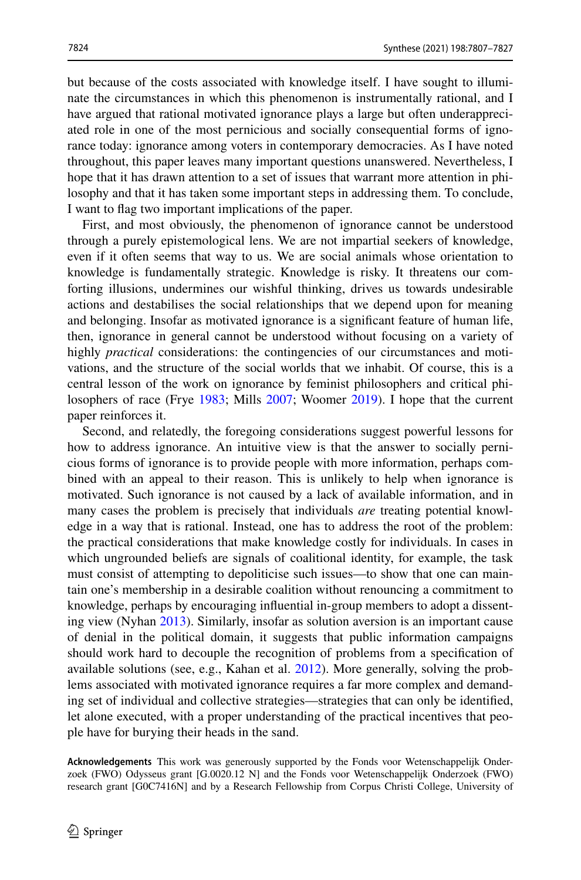but because of the costs associated with knowledge itself. I have sought to illuminate the circumstances in which this phenomenon is instrumentally rational, and I have argued that rational motivated ignorance plays a large but often underappreciated role in one of the most pernicious and socially consequential forms of ignorance today: ignorance among voters in contemporary democracies. As I have noted throughout, this paper leaves many important questions unanswered. Nevertheless, I hope that it has drawn attention to a set of issues that warrant more attention in philosophy and that it has taken some important steps in addressing them. To conclude, I want to fag two important implications of the paper.

First, and most obviously, the phenomenon of ignorance cannot be understood through a purely epistemological lens. We are not impartial seekers of knowledge, even if it often seems that way to us. We are social animals whose orientation to knowledge is fundamentally strategic. Knowledge is risky. It threatens our com‑ forting illusions, undermines our wishful thinking, drives us towards undesirable actions and destabilises the social relationships that we depend upon for meaning and belonging. Insofar as motivated ignorance is a signifcant feature of human life, then, ignorance in general cannot be understood without focusing on a variety of highly *practical* considerations: the contingencies of our circumstances and motivations, and the structure of the social worlds that we inhabit. Of course, this is a central lesson of the work on ignorance by feminist philosophers and critical philosophers of race (Frye [1983](#page-18-1); Mills [2007](#page-19-5); Woomer [2019\)](#page-20-0). I hope that the current paper reinforces it.

Second, and relatedly, the foregoing considerations suggest powerful lessons for how to address ignorance. An intuitive view is that the answer to socially perni– cious forms of ignorance is to provide people with more information, perhaps com‑ bined with an appeal to their reason. This is unlikely to help when ignorance is motivated. Such ignorance is not caused by a lack of available information, and in many cases the problem is precisely that individuals *are* treating potential knowl– edge in a way that is rational. Instead, one has to address the root of the problem: the practical considerations that make knowledge costly for individuals. In cases in which ungrounded beliefs are signals of coalitional identity, for example, the task must consist of attempting to depoliticise such issues—to show that one can main– tain one's membership in a desirable coalition without renouncing a commitment to knowledge, perhaps by encouraging influential in-group members to adopt a dissenting view (Nyhan [2013\)](#page-19-30). Similarly, insofar as solution aversion is an important cause of denial in the political domain, it suggests that public information campaigns should work hard to decouple the recognition of problems from a specifcation of available solutions (see, e.g., Kahan et al.  $2012$ ). More generally, solving the problems associated with motivated ignorance requires a far more complex and demanding set of individual and collective strategies—strategies that can only be identifed, let alone executed, with a proper understanding of the practical incentives that people have for burying their heads in the sand.

**Acknowledgements** This work was generously supported by the Fonds voor Wetenschappelijk Onder‑ zoek (FWO) Odysseus grant [G.0020.12 N] and the Fonds voor Wetenschappelijk Onderzoek (FWO) research grant [G0C7416N] and by a Research Fellowship from Corpus Christi College, University of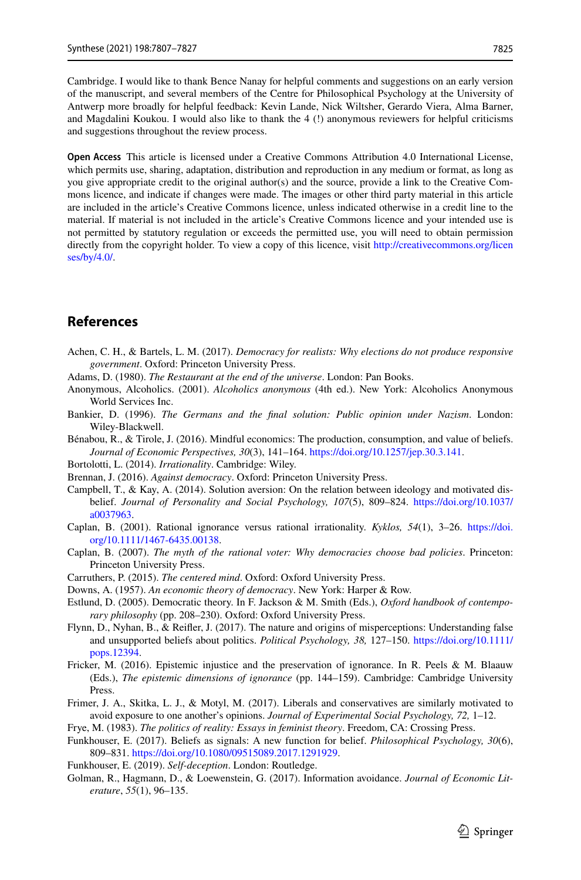Cambridge. I would like to thank Bence Nanay for helpful comments and suggestions on an early version of the manuscript, and several members of the Centre for Philosophical Psychology at the University of Antwerp more broadly for helpful feedback: Kevin Lande, Nick Wiltsher, Gerardo Viera, Alma Barner, and Magdalini Koukou. I would also like to thank the 4 (!) anonymous reviewers for helpful criticisms and suggestions throughout the review process.

**Open Access** This article is licensed under a Creative Commons Attribution 4.0 International License, which permits use, sharing, adaptation, distribution and reproduction in any medium or format, as long as you give appropriate credit to the original author(s) and the source, provide a link to the Creative Commons licence, and indicate if changes were made. The images or other third party material in this article are included in the article's Creative Commons licence, unless indicated otherwise in a credit line to the material. If material is not included in the article's Creative Commons licence and your intended use is not permitted by statutory regulation or exceeds the permitted use, you will need to obtain permission directly from the copyright holder. To view a copy of this licence, visit [http://creativecommons.org/licen](http://creativecommons.org/licenses/by/4.0/) [ses/by/4.0/](http://creativecommons.org/licenses/by/4.0/).

### **References**

- <span id="page-18-19"></span>Achen, C. H., & Bartels, L. M. (2017). *Democracy for realists: Why elections do not produce responsive government*. Oxford: Princeton University Press.
- <span id="page-18-7"></span>Adams, D. (1980). *The Restaurant at the end of the universe*. London: Pan Books.
- <span id="page-18-9"></span>Anonymous, Alcoholics. (2001). *Alcoholics anonymous* (4th ed.). New York: Alcoholics Anonymous World Services Inc.
- <span id="page-18-5"></span>Bankier, D. (1996). *The Germans and the fnal solution: Public opinion under Nazism*. London: Wiley-Blackwell.
- <span id="page-18-4"></span>Bénabou, R., & Tirole, J. (2016). Mindful economics: The production, consumption, and value of beliefs. *Journal of Economic Perspectives, 30*(3), 141–164.<https://doi.org/10.1257/jep.30.3.141>.
- <span id="page-18-8"></span>Bortolotti, L. (2014). *Irrationality*. Cambridge: Wiley.
- <span id="page-18-12"></span>Brennan, J. (2016). *Against democracy*. Oxford: Princeton University Press.
- <span id="page-18-13"></span>Campbell, T., & Kay, A. (2014). Solution aversion: On the relation between ideology and motivated dis‑ belief. *Journal of Personality and Social Psychology, 107*(5), 809–824. [https://doi.org/10.1037/](https://doi.org/10.1037/a0037963) [a0037963.](https://doi.org/10.1037/a0037963)
- <span id="page-18-16"></span>Caplan, B. (2001). Rational ignorance versus rational irrationality. *Kyklos, 54*(1), 3–26. [https://doi.](https://doi.org/10.1111/1467-6435.00138) [org/10.1111/1467-6435.00138.](https://doi.org/10.1111/1467-6435.00138)
- <span id="page-18-14"></span>Caplan, B. (2007). *The myth of the rational voter: Why democracies choose bad policies*. Princeton: Princeton University Press.
- <span id="page-18-10"></span>Carruthers, P. (2015). *The centered mind*. Oxford: Oxford University Press.
- <span id="page-18-0"></span>Downs, A. (1957). *An economic theory of democracy*. New York: Harper & Row.
- <span id="page-18-17"></span>Estlund, D. (2005). Democratic theory. In F. Jackson & M. Smith (Eds.), *Oxford handbook of contemporary philosophy* (pp. 208–230). Oxford: Oxford University Press.
- <span id="page-18-15"></span>Flynn, D., Nyhan, B., & Reifer, J. (2017). The nature and origins of misperceptions: Understanding false and unsupported beliefs about politics. *Political Psychology, 38,* 127–150. [https://doi.org/10.1111/](https://doi.org/10.1111/pops.12394) [pops.12394](https://doi.org/10.1111/pops.12394).
- <span id="page-18-11"></span>Fricker, M. (2016). Epistemic injustice and the preservation of ignorance. In R. Peels & M. Blaauw (Eds.), *The epistemic dimensions of ignorance* (pp. 144–159). Cambridge: Cambridge University Press.
- <span id="page-18-18"></span>Frimer, J. A., Skitka, L. J., & Motyl, M. (2017). Liberals and conservatives are similarly motivated to avoid exposure to one another's opinions. *Journal of Experimental Social Psychology, 72,* 1–12.

<span id="page-18-1"></span>Frye, M. (1983). *The politics of reality: Essays in feminist theory*. Freedom, CA: Crossing Press.

- <span id="page-18-6"></span>Funkhouser, E. (2017). Beliefs as signals: A new function for belief. *Philosophical Psychology, 30*(6), 809–831.<https://doi.org/10.1080/09515089.2017.1291929>.
- <span id="page-18-3"></span>Funkhouser, E. (2019). *Self-deception*. London: Routledge.
- <span id="page-18-2"></span>Golman, R., Hagmann, D., & Loewenstein, G. (2017). Information avoidance. *Journal of Economic Literature*, *55*(1), 96–135.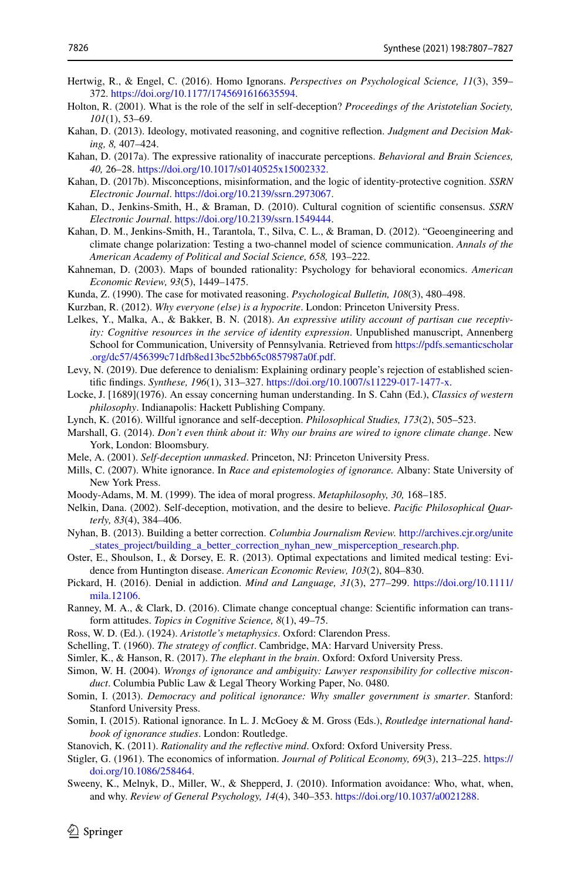- <span id="page-19-7"></span>Hertwig, R., & Engel, C. (2016). Homo Ignorans. *Perspectives on Psychological Science, 11*(3), 359– 372.<https://doi.org/10.1177/1745691616635594>.
- <span id="page-19-20"></span>Holton, R. (2001). What is the role of the self in self-deception? *Proceedings of the Aristotelian Society, 101*(1), 53–69.
- <span id="page-19-23"></span>Kahan, D. (2013). Ideology, motivated reasoning, and cognitive refection. *Judgment and Decision Making, 8,* 407–424.
- <span id="page-19-10"></span>Kahan, D. (2017a). The expressive rationality of inaccurate perceptions. *Behavioral and Brain Sciences, 40,* 26–28. [https://doi.org/10.1017/s0140525x15002332.](https://doi.org/10.1017/s0140525x15002332)
- <span id="page-19-24"></span>Kahan, D. (2017b). Misconceptions, misinformation, and the logic of identity-protective cognition. *SSRN Electronic Journal*. [https://doi.org/10.2139/ssrn.2973067.](https://doi.org/10.2139/ssrn.2973067)
- <span id="page-19-21"></span>Kahan, D., Jenkins-Smith, H., & Braman, D. (2010). Cultural cognition of scientifc consensus. *SSRN Electronic Journal*. [https://doi.org/10.2139/ssrn.1549444.](https://doi.org/10.2139/ssrn.1549444)
- <span id="page-19-31"></span>Kahan, D. M., Jenkins-Smith, H., Tarantola, T., Silva, C. L., & Braman, D. (2012). "Geoengineering and climate change polarization: Testing a two-channel model of science communication. *Annals of the American Academy of Political and Social Science, 658,* 193–222.
- <span id="page-19-17"></span>Kahneman, D. (2003). Maps of bounded rationality: Psychology for behavioral economics. *American Economic Review, 93*(5), 1449–1475.
- <span id="page-19-11"></span>Kunda, Z. (1990). The case for motivated reasoning. *Psychological Bulletin, 108*(3), 480–498.

<span id="page-19-14"></span>Kurzban, R. (2012). *Why everyone (else) is a hypocrite*. London: Princeton University Press.

- <span id="page-19-28"></span>Lelkes, Y., Malka, A., & Bakker, B. N. (2018). *An expressive utility account of partisan cue receptivity: Cognitive resources in the service of identity expression*. Unpublished manuscript, Annenberg School for Communication, University of Pennsylvania. Retrieved from [https://pdfs.semanticscholar](https://pdfs.semanticscholar.org/dc57/456399c71dfb8ed13bc52bb65c0857987a0f.pdf) [.org/dc57/456399c71dfb8ed13bc52bb65c0857987a0f.pdf](https://pdfs.semanticscholar.org/dc57/456399c71dfb8ed13bc52bb65c0857987a0f.pdf).
- <span id="page-19-26"></span>Levy, N. (2019). Due deference to denialism: Explaining ordinary people's rejection of established scientifc fndings. *Synthese, 196*(1), 313–327. <https://doi.org/10.1007/s11229-017-1477-x>.
- <span id="page-19-0"></span>Locke, J. [1689](1976). An essay concerning human understanding. In S. Cahn (Ed.), *Classics of western philosophy*. Indianapolis: Hackett Publishing Company.
- <span id="page-19-6"></span>Lynch, K. (2016). Willful ignorance and self-deception. *Philosophical Studies, 173*(2), 505–523.
- <span id="page-19-27"></span>Marshall, G. (2014). *Don't even think about it: Why our brains are wired to ignore climate change*. New York, London: Bloomsbury.
- <span id="page-19-12"></span>Mele, A. (2001). *Self-deception unmasked*. Princeton, NJ: Princeton University Press.
- <span id="page-19-5"></span>Mills, C. (2007). White ignorance. In *Race and epistemologies of ignorance.* Albany: State University of New York Press.
- <span id="page-19-29"></span>Moody-Adams, M. M. (1999). The idea of moral progress. *Metaphilosophy, 30,* 168–185.
- <span id="page-19-15"></span>Nelkin, Dana. (2002). Self-deception, motivation, and the desire to believe. *Pacifc Philosophical Quarterly, 83*(4), 384–406.
- <span id="page-19-30"></span>Nyhan, B. (2013). Building a better correction. *Columbia Journalism Review.* [http://archives.cjr.org/unite](http://archives.cjr.org/unite_states_project/building_a_better_correction_nyhan_new_misperception_research.php) states project/building a better correction nyhan new misperception research.php.
- <span id="page-19-4"></span>Oster, E., Shoulson, I., & Dorsey, E. R. (2013). Optimal expectations and limited medical testing: Evidence from Huntington disease. *American Economic Review, 103*(2), 804–830.
- <span id="page-19-18"></span>Pickard, H. (2016). Denial in addiction. *Mind and Language, 31*(3), 277–299. [https://doi.org/10.1111/](https://doi.org/10.1111/mila.12106) [mila.12106](https://doi.org/10.1111/mila.12106).
- <span id="page-19-25"></span>Ranney, M. A., & Clark, D. (2016). Climate change conceptual change: Scientific information can transform attitudes. *Topics in Cognitive Science, 8*(1), 49–75.
- <span id="page-19-2"></span>Ross, W. D. (Ed.). (1924). *Aristotle's metaphysics*. Oxford: Clarendon Press.
- <span id="page-19-1"></span>Schelling, T. (1960). *The strategy of confict*. Cambridge, MA: Harvard University Press.
- <span id="page-19-19"></span>Simler, K., & Hanson, R. (2017). *The elephant in the brain*. Oxford: Oxford University Press.
- <span id="page-19-13"></span>Simon, W. H. (2004). *Wrongs of ignorance and ambiguity: Lawyer responsibility for collective misconduct*. Columbia Public Law & Legal Theory Working Paper, No. 0480.
- <span id="page-19-22"></span>Somin, I. (2013). *Democracy and political ignorance: Why smaller government is smarter*. Stanford: Stanford University Press.
- <span id="page-19-3"></span>Somin, I. (2015). Rational ignorance. In L. J. McGoey & M. Gross (Eds.), *Routledge international handbook of ignorance studies*. London: Routledge.

<span id="page-19-16"></span>Stanovich, K. (2011). *Rationality and the refective mind*. Oxford: Oxford University Press.

- <span id="page-19-9"></span>Stigler, G. (1961). The economics of information. *Journal of Political Economy, 69*(3), 213–225. [https://](https://doi.org/10.1086/258464) [doi.org/10.1086/258464](https://doi.org/10.1086/258464).
- <span id="page-19-8"></span>Sweeny, K., Melnyk, D., Miller, W., & Shepperd, J. (2010). Information avoidance: Who, what, when, and why. *Review of General Psychology, 14*(4), 340–353. [https://doi.org/10.1037/a0021288.](https://doi.org/10.1037/a0021288)